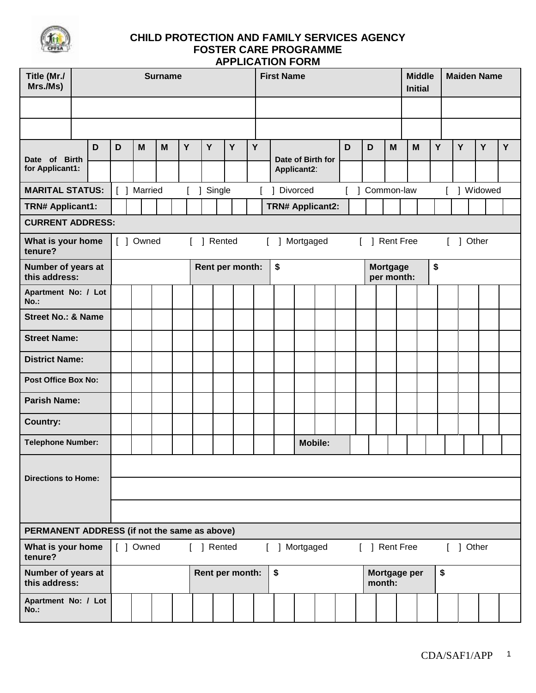

| Title (Mr./<br>Mrs./Ms)                      |   |                                                           |             | <b>Surname</b> |   |            |        |                 |   | <b>First Name</b>                |  |                | <b>Maiden Name</b><br><b>Middle</b><br><b>Initial</b> |   |                               |           |   |    |           |   |   |
|----------------------------------------------|---|-----------------------------------------------------------|-------------|----------------|---|------------|--------|-----------------|---|----------------------------------|--|----------------|-------------------------------------------------------|---|-------------------------------|-----------|---|----|-----------|---|---|
|                                              |   |                                                           |             |                |   |            |        |                 |   |                                  |  |                |                                                       |   |                               |           |   |    |           |   |   |
|                                              |   |                                                           |             |                |   |            |        |                 |   |                                  |  |                |                                                       |   |                               |           |   |    |           |   |   |
| Date of Birth                                | D | D                                                         | M           | M              | Y | Y          |        | Y               | Y |                                  |  |                | D                                                     | D | M                             | M         | Y |    | Y         | Y | Y |
| for Applicant1:                              |   |                                                           |             |                |   |            |        |                 |   | Date of Birth for<br>Applicant2: |  |                |                                                       |   |                               |           |   |    |           |   |   |
| <b>MARITAL STATUS:</b>                       |   |                                                           | [ ] Married |                |   |            | Single |                 |   | Common-law<br>Divorced           |  |                |                                                       |   |                               | ] Widowed |   |    |           |   |   |
| <b>TRN# Applicant1:</b>                      |   |                                                           |             |                |   |            |        |                 |   | <b>TRN# Applicant2:</b>          |  |                |                                                       |   |                               |           |   |    |           |   |   |
| <b>CURRENT ADDRESS:</b>                      |   |                                                           |             |                |   |            |        |                 |   |                                  |  |                |                                                       |   |                               |           |   |    |           |   |   |
| What is your home<br>tenure?                 |   | [ ] Owned<br>] Rented<br>] Mortgaged<br>L<br>$\mathbb{L}$ |             |                |   |            |        |                 |   |                                  |  |                |                                                       |   | [ ] Rent Free                 |           |   |    | [ ] Other |   |   |
| Number of years at<br>this address:          |   | Rent per month:                                           |             |                |   |            |        |                 |   | \$                               |  |                |                                                       |   | <b>Mortgage</b><br>per month: | \$        |   |    |           |   |   |
| Apartment No: / Lot<br>No.:                  |   |                                                           |             |                |   |            |        |                 |   |                                  |  |                |                                                       |   |                               |           |   |    |           |   |   |
| <b>Street No.: &amp; Name</b>                |   |                                                           |             |                |   |            |        |                 |   |                                  |  |                |                                                       |   |                               |           |   |    |           |   |   |
| <b>Street Name:</b>                          |   |                                                           |             |                |   |            |        |                 |   |                                  |  |                |                                                       |   |                               |           |   |    |           |   |   |
| <b>District Name:</b>                        |   |                                                           |             |                |   |            |        |                 |   |                                  |  |                |                                                       |   |                               |           |   |    |           |   |   |
| <b>Post Office Box No:</b>                   |   |                                                           |             |                |   |            |        |                 |   |                                  |  |                |                                                       |   |                               |           |   |    |           |   |   |
| <b>Parish Name:</b>                          |   |                                                           |             |                |   |            |        |                 |   |                                  |  |                |                                                       |   |                               |           |   |    |           |   |   |
| <b>Country:</b>                              |   |                                                           |             |                |   |            |        |                 |   |                                  |  |                |                                                       |   |                               |           |   |    |           |   |   |
| <b>Telephone Number:</b>                     |   |                                                           |             |                |   |            |        |                 |   |                                  |  | <b>Mobile:</b> |                                                       |   |                               |           |   |    |           |   |   |
| <b>Directions to Home:</b>                   |   |                                                           |             |                |   |            |        |                 |   |                                  |  |                |                                                       |   |                               |           |   |    |           |   |   |
|                                              |   |                                                           |             |                |   |            |        |                 |   |                                  |  |                |                                                       |   |                               |           |   |    |           |   |   |
|                                              |   |                                                           |             |                |   |            |        |                 |   |                                  |  |                |                                                       |   |                               |           |   |    |           |   |   |
| PERMANENT ADDRESS (if not the same as above) |   |                                                           |             |                |   |            |        |                 |   |                                  |  |                |                                                       |   |                               |           |   |    |           |   |   |
| What is your home<br>tenure?                 |   |                                                           | [ ] Owned   |                |   | [ ] Rented |        |                 |   | [ ] Mortgaged                    |  |                |                                                       |   | [ ] Rent Free                 |           |   |    | [ ] Other |   |   |
| Number of years at<br>this address:          |   |                                                           |             |                |   |            |        | Rent per month: |   | \$                               |  |                |                                                       |   | Mortgage per<br>month:        |           |   | \$ |           |   |   |
| Apartment No: / Lot<br><b>No.:</b>           |   |                                                           |             |                |   |            |        |                 |   |                                  |  |                |                                                       |   |                               |           |   |    |           |   |   |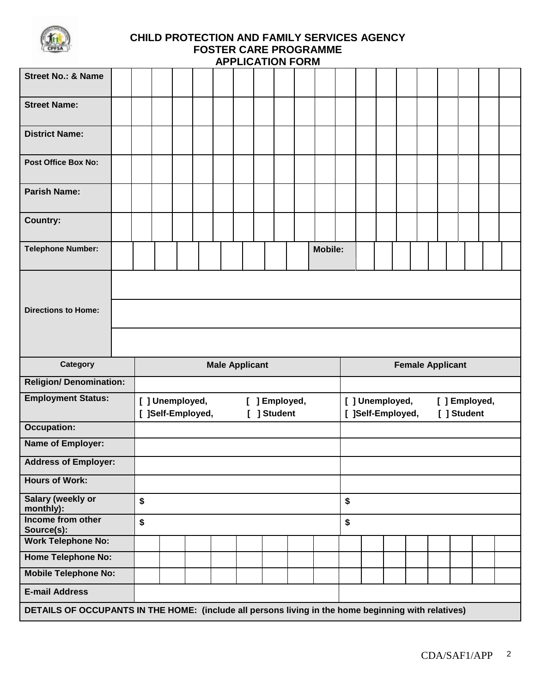

| <b>Street No.: &amp; Name</b>           |                       |                |                 |                   |  |  |  |                              |  |  |    |                                      |  |  |                         |             |               |  |
|-----------------------------------------|-----------------------|----------------|-----------------|-------------------|--|--|--|------------------------------|--|--|----|--------------------------------------|--|--|-------------------------|-------------|---------------|--|
| <b>Street Name:</b>                     |                       |                |                 |                   |  |  |  |                              |  |  |    |                                      |  |  |                         |             |               |  |
| <b>District Name:</b>                   |                       |                |                 |                   |  |  |  |                              |  |  |    |                                      |  |  |                         |             |               |  |
| <b>Post Office Box No:</b>              |                       |                |                 |                   |  |  |  |                              |  |  |    |                                      |  |  |                         |             |               |  |
| <b>Parish Name:</b>                     |                       |                |                 |                   |  |  |  |                              |  |  |    |                                      |  |  |                         |             |               |  |
| <b>Country:</b>                         |                       |                |                 |                   |  |  |  |                              |  |  |    |                                      |  |  |                         |             |               |  |
| <b>Telephone Number:</b>                |                       | <b>Mobile:</b> |                 |                   |  |  |  |                              |  |  |    |                                      |  |  |                         |             |               |  |
|                                         |                       |                |                 |                   |  |  |  |                              |  |  |    |                                      |  |  |                         |             |               |  |
| <b>Directions to Home:</b>              |                       |                |                 |                   |  |  |  |                              |  |  |    |                                      |  |  |                         |             |               |  |
|                                         |                       |                |                 |                   |  |  |  |                              |  |  |    |                                      |  |  |                         |             |               |  |
|                                         | <b>Male Applicant</b> |                |                 |                   |  |  |  |                              |  |  |    |                                      |  |  | <b>Female Applicant</b> |             |               |  |
| <b>Category</b>                         |                       |                |                 |                   |  |  |  |                              |  |  |    |                                      |  |  |                         |             |               |  |
| <b>Religion/ Denomination:</b>          |                       |                |                 |                   |  |  |  |                              |  |  |    |                                      |  |  |                         |             |               |  |
| <b>Employment Status:</b>               |                       |                | [ ] Unemployed, | [ ]Self-Employed, |  |  |  | [ ] Employed,<br>[ ] Student |  |  |    | [ ] Unemployed,<br>[ ]Self-Employed, |  |  |                         | [ ] Student | [ ] Employed, |  |
| <b>Occupation:</b>                      |                       |                |                 |                   |  |  |  |                              |  |  |    |                                      |  |  |                         |             |               |  |
| Name of Employer:                       |                       |                |                 |                   |  |  |  |                              |  |  |    |                                      |  |  |                         |             |               |  |
| <b>Address of Employer:</b>             |                       |                |                 |                   |  |  |  |                              |  |  |    |                                      |  |  |                         |             |               |  |
| <b>Hours of Work:</b>                   |                       |                |                 |                   |  |  |  |                              |  |  |    |                                      |  |  |                         |             |               |  |
| <b>Salary (weekly or</b><br>monthly):   | \$                    |                |                 |                   |  |  |  |                              |  |  | \$ |                                      |  |  |                         |             |               |  |
| Income from other                       | \$                    |                |                 |                   |  |  |  |                              |  |  | \$ |                                      |  |  |                         |             |               |  |
| Source(s):<br><b>Work Telephone No:</b> |                       |                |                 |                   |  |  |  |                              |  |  |    |                                      |  |  |                         |             |               |  |
| <b>Home Telephone No:</b>               |                       |                |                 |                   |  |  |  |                              |  |  |    |                                      |  |  |                         |             |               |  |
| <b>Mobile Telephone No:</b>             |                       |                |                 |                   |  |  |  |                              |  |  |    |                                      |  |  |                         |             |               |  |
| <b>E-mail Address</b>                   |                       |                |                 |                   |  |  |  |                              |  |  |    |                                      |  |  |                         |             |               |  |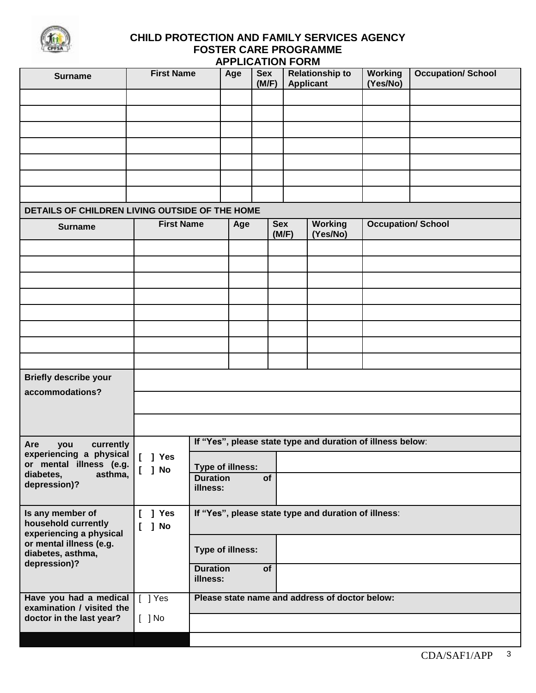

| <b>Surname</b>                                                     | <b>First Name</b>  |                             | Age | <b>Sex</b><br>(M/F) |       | <b>Relationship to</b><br><b>Applicant</b>                 | <b>Working</b><br>(Yes/No) | <b>Occupation/ School</b> |
|--------------------------------------------------------------------|--------------------|-----------------------------|-----|---------------------|-------|------------------------------------------------------------|----------------------------|---------------------------|
|                                                                    |                    |                             |     |                     |       |                                                            |                            |                           |
|                                                                    |                    |                             |     |                     |       |                                                            |                            |                           |
|                                                                    |                    |                             |     |                     |       |                                                            |                            |                           |
|                                                                    |                    |                             |     |                     |       |                                                            |                            |                           |
|                                                                    |                    |                             |     |                     |       |                                                            |                            |                           |
|                                                                    |                    |                             |     |                     |       |                                                            |                            |                           |
|                                                                    |                    |                             |     |                     |       |                                                            |                            |                           |
| DETAILS OF CHILDREN LIVING OUTSIDE OF THE HOME                     |                    |                             |     |                     |       |                                                            |                            |                           |
| <b>Surname</b>                                                     | <b>First Name</b>  |                             | Age | <b>Sex</b>          | (M/F) | <b>Working</b><br>(Yes/No)                                 |                            | <b>Occupation/ School</b> |
|                                                                    |                    |                             |     |                     |       |                                                            |                            |                           |
|                                                                    |                    |                             |     |                     |       |                                                            |                            |                           |
|                                                                    |                    |                             |     |                     |       |                                                            |                            |                           |
|                                                                    |                    |                             |     |                     |       |                                                            |                            |                           |
|                                                                    |                    |                             |     |                     |       |                                                            |                            |                           |
|                                                                    |                    |                             |     |                     |       |                                                            |                            |                           |
|                                                                    |                    |                             |     |                     |       |                                                            |                            |                           |
| <b>Briefly describe your</b>                                       |                    |                             |     |                     |       |                                                            |                            |                           |
| accommodations?                                                    |                    |                             |     |                     |       |                                                            |                            |                           |
|                                                                    |                    |                             |     |                     |       |                                                            |                            |                           |
| currently<br>Are<br>you                                            |                    |                             |     |                     |       | If "Yes", please state type and duration of illness below: |                            |                           |
| experiencing a physical<br>or mental illness (e.g.                 | $[$ ] Yes          | <b>Type of illness:</b>     |     |                     |       |                                                            |                            |                           |
| diabetes,<br>asthma,<br>depression)?                               | ] No<br>L          | <b>Duration</b>             |     | of                  |       |                                                            |                            |                           |
|                                                                    |                    | illness:                    |     |                     |       |                                                            |                            |                           |
| Is any member of<br>household currently<br>experiencing a physical | ] Yes<br>] No<br>L |                             |     |                     |       | If "Yes", please state type and duration of illness:       |                            |                           |
| or mental illness (e.g.<br>diabetes, asthma,                       |                    | Type of illness:            |     |                     |       |                                                            |                            |                           |
| depression)?                                                       |                    | <b>Duration</b><br>illness: |     | of                  |       |                                                            |                            |                           |
| Have you had a medical<br>examination / visited the                | $[$ ] Yes          |                             |     |                     |       | Please state name and address of doctor below:             |                            |                           |
| doctor in the last year?                                           | $[$ ] No           |                             |     |                     |       |                                                            |                            |                           |
|                                                                    |                    |                             |     |                     |       |                                                            |                            |                           |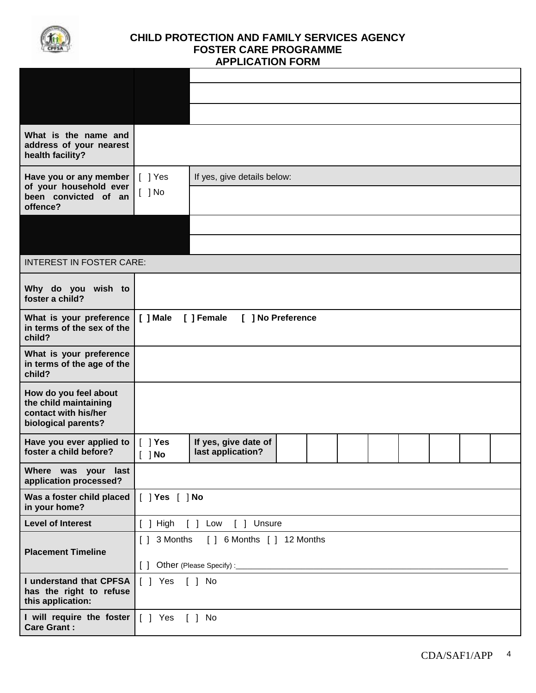

| What is the name and<br>address of your nearest<br>health facility?                           |                                             |                                                                    |  |  |  |  |  |  |  |  |  |  |  |  |
|-----------------------------------------------------------------------------------------------|---------------------------------------------|--------------------------------------------------------------------|--|--|--|--|--|--|--|--|--|--|--|--|
| Have you or any member<br>of your household ever<br>been convicted of an<br>offence?          | $[$ ] Yes<br>$[ ]$ No                       | If yes, give details below:                                        |  |  |  |  |  |  |  |  |  |  |  |  |
|                                                                                               |                                             |                                                                    |  |  |  |  |  |  |  |  |  |  |  |  |
| <b>INTEREST IN FOSTER CARE:</b>                                                               |                                             |                                                                    |  |  |  |  |  |  |  |  |  |  |  |  |
| Why do you wish to<br>foster a child?                                                         |                                             |                                                                    |  |  |  |  |  |  |  |  |  |  |  |  |
| What is your preference<br>in terms of the sex of the<br>child?                               | [ ] Female<br>[ ] Male<br>[ ] No Preference |                                                                    |  |  |  |  |  |  |  |  |  |  |  |  |
| What is your preference<br>in terms of the age of the<br>child?                               |                                             |                                                                    |  |  |  |  |  |  |  |  |  |  |  |  |
| How do you feel about<br>the child maintaining<br>contact with his/her<br>biological parents? |                                             |                                                                    |  |  |  |  |  |  |  |  |  |  |  |  |
| Have you ever applied to<br>foster a child before?                                            | $\lceil \ \rceil$ Yes<br>$[$ ] No           | If yes, give date of<br>last application?                          |  |  |  |  |  |  |  |  |  |  |  |  |
| Where was your last<br>application processed?                                                 |                                             |                                                                    |  |  |  |  |  |  |  |  |  |  |  |  |
| Was a foster child placed<br>in your home?                                                    | $[$ $]$ Yes $[$ $]$ No                      |                                                                    |  |  |  |  |  |  |  |  |  |  |  |  |
| <b>Level of Interest</b>                                                                      | $[$ ] High                                  | [ ] Low<br>[ ] Unsure                                              |  |  |  |  |  |  |  |  |  |  |  |  |
| <b>Placement Timeline</b>                                                                     | [ ] 3 Months                                | [ ] 6 Months [ ] 12 Months<br>[ ] Other (Please Specify) :________ |  |  |  |  |  |  |  |  |  |  |  |  |
| I understand that CPFSA<br>has the right to refuse<br>this application:                       | [ ] Yes [ ] No                              |                                                                    |  |  |  |  |  |  |  |  |  |  |  |  |
| I will require the foster<br><b>Care Grant:</b>                                               | [ ] Yes [ ] No                              |                                                                    |  |  |  |  |  |  |  |  |  |  |  |  |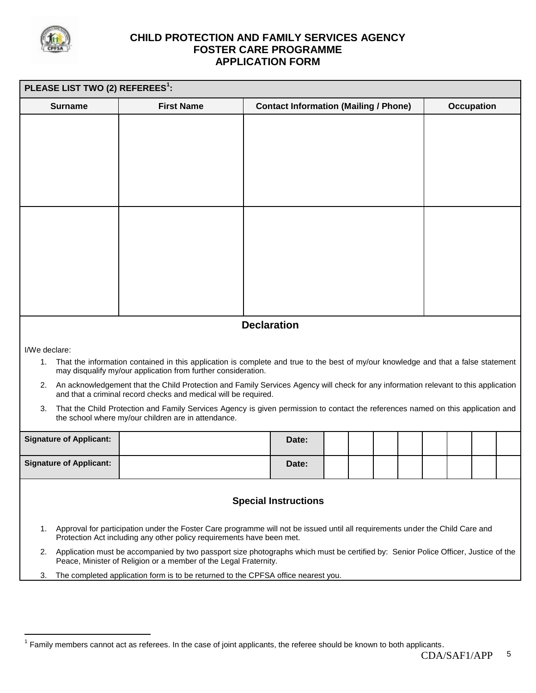

 $\overline{a}$ 

| PLEASE LIST TWO (2) REFEREES <sup>1</sup> : |                                                                                                                                                                                                           |  |                                              |  |  |  |  |  |                   |  |  |  |  |  |
|---------------------------------------------|-----------------------------------------------------------------------------------------------------------------------------------------------------------------------------------------------------------|--|----------------------------------------------|--|--|--|--|--|-------------------|--|--|--|--|--|
| <b>Surname</b>                              | <b>First Name</b>                                                                                                                                                                                         |  | <b>Contact Information (Mailing / Phone)</b> |  |  |  |  |  | <b>Occupation</b> |  |  |  |  |  |
|                                             |                                                                                                                                                                                                           |  |                                              |  |  |  |  |  |                   |  |  |  |  |  |
|                                             |                                                                                                                                                                                                           |  |                                              |  |  |  |  |  |                   |  |  |  |  |  |
|                                             |                                                                                                                                                                                                           |  |                                              |  |  |  |  |  |                   |  |  |  |  |  |
|                                             |                                                                                                                                                                                                           |  |                                              |  |  |  |  |  |                   |  |  |  |  |  |
|                                             |                                                                                                                                                                                                           |  |                                              |  |  |  |  |  |                   |  |  |  |  |  |
|                                             |                                                                                                                                                                                                           |  |                                              |  |  |  |  |  |                   |  |  |  |  |  |
|                                             |                                                                                                                                                                                                           |  |                                              |  |  |  |  |  |                   |  |  |  |  |  |
|                                             |                                                                                                                                                                                                           |  |                                              |  |  |  |  |  |                   |  |  |  |  |  |
|                                             |                                                                                                                                                                                                           |  |                                              |  |  |  |  |  |                   |  |  |  |  |  |
|                                             |                                                                                                                                                                                                           |  |                                              |  |  |  |  |  |                   |  |  |  |  |  |
|                                             |                                                                                                                                                                                                           |  |                                              |  |  |  |  |  |                   |  |  |  |  |  |
| <b>Declaration</b>                          |                                                                                                                                                                                                           |  |                                              |  |  |  |  |  |                   |  |  |  |  |  |
| I/We declare:                               |                                                                                                                                                                                                           |  |                                              |  |  |  |  |  |                   |  |  |  |  |  |
| 1.                                          | That the information contained in this application is complete and true to the best of my/our knowledge and that a false statement<br>may disqualify my/our application from further consideration.       |  |                                              |  |  |  |  |  |                   |  |  |  |  |  |
|                                             | 2. An acknowledgement that the Child Protection and Family Services Agency will check for any information relevant to this application<br>and that a criminal record checks and medical will be required. |  |                                              |  |  |  |  |  |                   |  |  |  |  |  |
| 3.                                          | That the Child Protection and Family Services Agency is given permission to contact the references named on this application and<br>the school where my/our children are in attendance.                   |  |                                              |  |  |  |  |  |                   |  |  |  |  |  |
| <b>Signature of Applicant:</b>              |                                                                                                                                                                                                           |  | Date:                                        |  |  |  |  |  |                   |  |  |  |  |  |
|                                             |                                                                                                                                                                                                           |  |                                              |  |  |  |  |  |                   |  |  |  |  |  |
| <b>Signature of Applicant:</b>              |                                                                                                                                                                                                           |  | Date:                                        |  |  |  |  |  |                   |  |  |  |  |  |
|                                             |                                                                                                                                                                                                           |  |                                              |  |  |  |  |  |                   |  |  |  |  |  |
|                                             |                                                                                                                                                                                                           |  | <b>Special Instructions</b>                  |  |  |  |  |  |                   |  |  |  |  |  |
| 1.                                          | Approval for participation under the Foster Care programme will not be issued until all requirements under the Child Care and<br>Protection Act including any other policy requirements have been met.    |  |                                              |  |  |  |  |  |                   |  |  |  |  |  |
|                                             | 2. Application must be accompanied by two passport size photographs which must be certified by: Senior Police Officer, Justice of the<br>Peace, Minister of Religion or a member of the Legal Fraternity. |  |                                              |  |  |  |  |  |                   |  |  |  |  |  |
| 3.                                          | The completed application form is to be returned to the CPFSA office nearest you.                                                                                                                         |  |                                              |  |  |  |  |  |                   |  |  |  |  |  |
|                                             |                                                                                                                                                                                                           |  |                                              |  |  |  |  |  |                   |  |  |  |  |  |

<sup>&</sup>lt;sup>1</sup> Family members cannot act as referees. In the case of joint applicants, the referee should be known to both applicants.